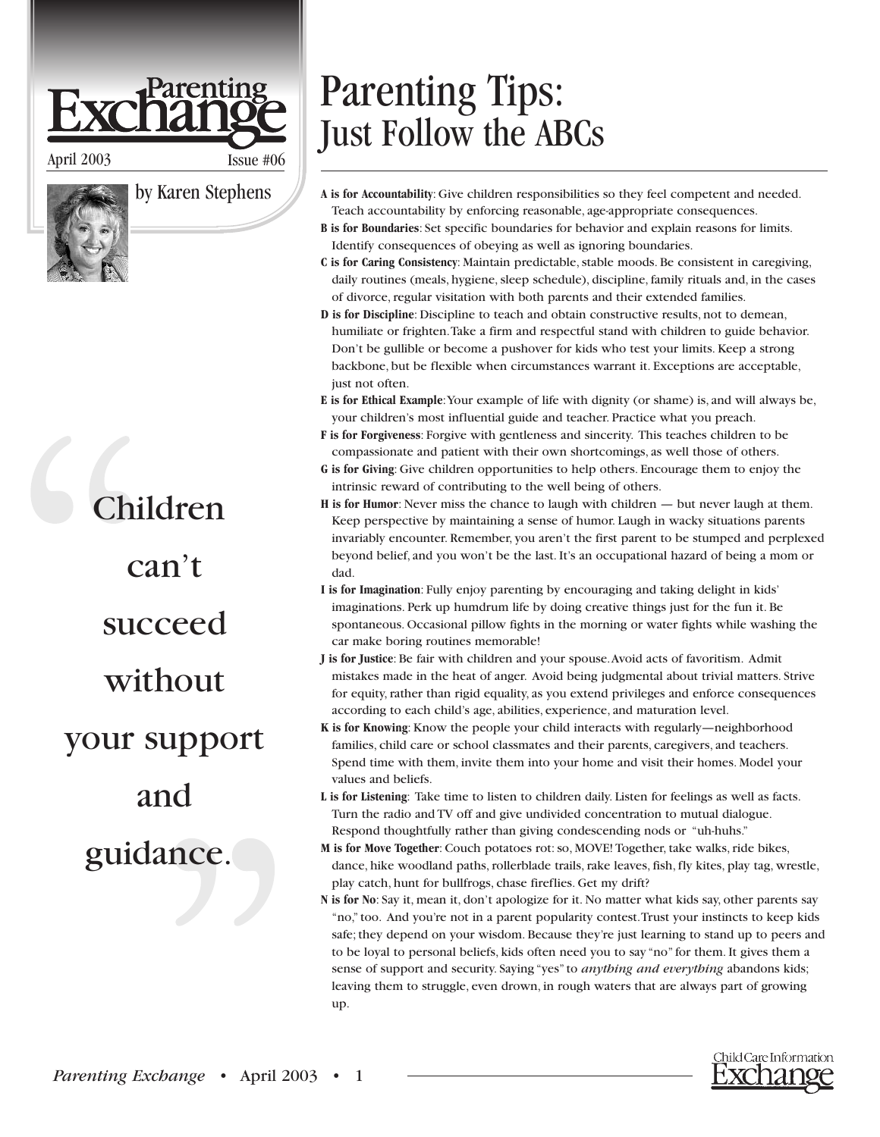## arenting

April 2003 Issue #06

by Karen Stephens

## Children can't succeed without your support and

guidance.

Parenting Tips: Just Follow the ABCs

- **A is for Accountability**: Give children responsibilities so they feel competent and needed. Teach accountability by enforcing reasonable, age-appropriate consequences.
- **B is for Boundaries**: Set specific boundaries for behavior and explain reasons for limits. Identify consequences of obeying as well as ignoring boundaries.
- **C is for Caring Consistency**: Maintain predictable, stable moods. Be consistent in caregiving, daily routines (meals, hygiene, sleep schedule), discipline, family rituals and, in the cases of divorce, regular visitation with both parents and their extended families.
- **D is for Discipline**: Discipline to teach and obtain constructive results, not to demean, humiliate or frighten.Take a firm and respectful stand with children to guide behavior. Don't be gullible or become a pushover for kids who test your limits. Keep a strong backbone, but be flexible when circumstances warrant it. Exceptions are acceptable, just not often.
- **E is for Ethical Example**:Your example of life with dignity (or shame) is, and will always be, your children's most influential guide and teacher. Practice what you preach.
- **F is for Forgiveness**: Forgive with gentleness and sincerity. This teaches children to be compassionate and patient with their own shortcomings, as well those of others.
- **G is for Giving**: Give children opportunities to help others. Encourage them to enjoy the intrinsic reward of contributing to the well being of others.
- **H is for Humor**: Never miss the chance to laugh with children but never laugh at them. Keep perspective by maintaining a sense of humor. Laugh in wacky situations parents invariably encounter. Remember, you aren't the first parent to be stumped and perplexed beyond belief, and you won't be the last. It's an occupational hazard of being a mom or dad.
- **I is for Imagination**: Fully enjoy parenting by encouraging and taking delight in kids' imaginations. Perk up humdrum life by doing creative things just for the fun it. Be spontaneous. Occasional pillow fights in the morning or water fights while washing the car make boring routines memorable!
- **J is for Justice**: Be fair with children and your spouse.Avoid acts of favoritism. Admit mistakes made in the heat of anger. Avoid being judgmental about trivial matters. Strive for equity, rather than rigid equality, as you extend privileges and enforce consequences according to each child's age, abilities, experience, and maturation level.
- **K is for Knowing**:Know the people your child interacts with regularly—neighborhood families, child care or school classmates and their parents, caregivers, and teachers. Spend time with them, invite them into your home and visit their homes. Model your values and beliefs.
- **L is for Listening**: Take time to listen to children daily. Listen for feelings as well as facts. Turn the radio and TV off and give undivided concentration to mutual dialogue. Respond thoughtfully rather than giving condescending nods or "uh-huhs."
- **M is for Move Together**: Couch potatoes rot: so, MOVE! Together, take walks, ride bikes, dance, hike woodland paths, rollerblade trails, rake leaves, fish, fly kites, play tag, wrestle, play catch, hunt for bullfrogs, chase fireflies. Get my drift?
- **N is for No**: Say it, mean it, don't apologize for it. No matter what kids say, other parents say "no," too. And you're not in a parent popularity contest.Trust your instincts to keep kids safe; they depend on your wisdom. Because they're just learning to stand up to peers and to be loyal to personal beliefs, kids often need you to say "no" for them. It gives them a sense of support and security. Saying "yes" to *anything and everything* abandons kids; leaving them to struggle, even drown, in rough waters that are always part of growing up.